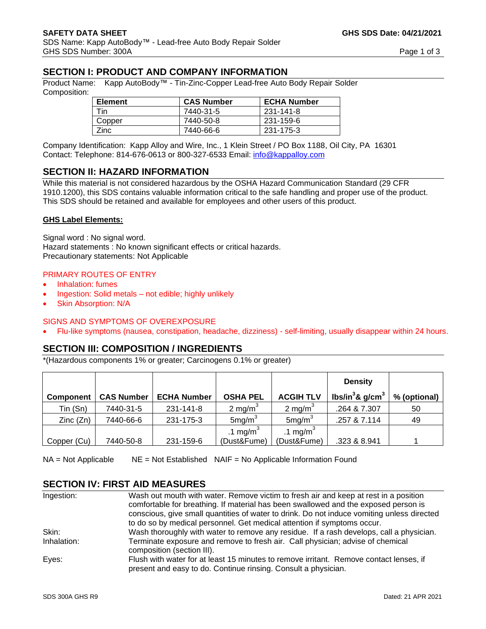# **SECTION I: PRODUCT AND COMPANY INFORMATION**

Product Name: Kapp AutoBody™ - Tin-Zinc-Copper Lead-free Auto Body Repair Solder Composition:

| <b>Element</b> | <b>CAS Number</b> | <b>ECHA Number</b> |
|----------------|-------------------|--------------------|
| Tin            | 7440-31-5         | 231-141-8          |
| Copper         | 7440-50-8         | 231-159-6          |
| Zinc           | 7440-66-6         | 231-175-3          |

Company Identification: Kapp Alloy and Wire, Inc., 1 Klein Street / PO Box 1188, Oil City, PA 16301 Contact: Telephone: 814-676-0613 or 800-327-6533 Email: [info@kappalloy.com](mailto:info@kappalloy.com)

#### **SECTION II: HAZARD INFORMATION**

While this material is not considered hazardous by the OSHA Hazard Communication Standard (29 CFR 1910.1200), this SDS contains valuable information critical to the safe handling and proper use of the product. This SDS should be retained and available for employees and other users of this product.

#### **GHS Label Elements:**

Signal word : No signal word. Hazard statements : No known significant effects or critical hazards. Precautionary statements: Not Applicable

#### PRIMARY ROUTES OF ENTRY

- Inhalation: fumes
- Ingestion: Solid metals not edible; highly unlikely
- Skin Absorption: N/A

#### SIGNS AND SYMPTOMS OF OVEREXPOSURE

• Flu-like symptoms (nausea, constipation, headache, dizziness) - self-limiting, usually disappear within 24 hours.

# **SECTION III: COMPOSITION / INGREDIENTS**

\*(Hazardous components 1% or greater; Carcinogens 0.1% or greater)

|                  |                   |                    |                      |                      | <b>Density</b>                  |              |
|------------------|-------------------|--------------------|----------------------|----------------------|---------------------------------|--------------|
| <b>Component</b> | <b>CAS Number</b> | <b>ECHA Number</b> | <b>OSHA PEL</b>      | <b>ACGIH TLV</b>     | lbs/in ${}^{3}$ & g/cm ${}^{3}$ | % (optional) |
| Tin (Sn)         | 7440-31-5         | 231-141-8          | 2 mg/m $3$           | 2 mg/m <sup>3</sup>  | .264 & 7.307                    | 50           |
| Zinc(Zn)         | 7440-66-6         | 231-175-3          | 5mg/m <sup>3</sup>   | 5mg/m <sup>3</sup>   | .257 & 7.114                    | 49           |
|                  |                   |                    | .1 mg/m <sup>3</sup> | .1 mg/m <sup>3</sup> |                                 |              |
| Copper (Cu)      | 7440-50-8         | 231-159-6          | (Dust&Fume)          | (Dust&Fume)          | .323 & 8.941                    |              |

NA = Not Applicable NE = Not Established NAIF = No Applicable Information Found

#### **SECTION IV: FIRST AID MEASURES**

| Ingestion:  | Wash out mouth with water. Remove victim to fresh air and keep at rest in a position<br>comfortable for breathing. If material has been swallowed and the exposed person is<br>conscious, give small quantities of water to drink. Do not induce vomiting unless directed |
|-------------|---------------------------------------------------------------------------------------------------------------------------------------------------------------------------------------------------------------------------------------------------------------------------|
|             | to do so by medical personnel. Get medical attention if symptoms occur.                                                                                                                                                                                                   |
| Skin:       | Wash thoroughly with water to remove any residue. If a rash develops, call a physician.                                                                                                                                                                                   |
| Inhalation: | Terminate exposure and remove to fresh air. Call physician; advise of chemical<br>composition (section III).                                                                                                                                                              |
| Eyes:       | Flush with water for at least 15 minutes to remove irritant. Remove contact lenses, if<br>present and easy to do. Continue rinsing. Consult a physician.                                                                                                                  |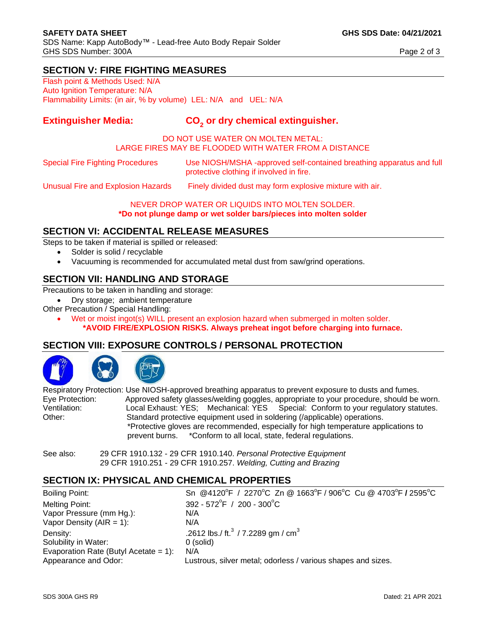# **SECTION V: FIRE FIGHTING MEASURES**

Flash point & Methods Used: N/A Auto Ignition Temperature: N/A Flammability Limits: (in air, % by volume) LEL: N/A and UEL: N/A

#### **Extinguisher Media: or dry chemical extinguisher.**

#### DO NOT USE WATER ON MOLTEN METAL: LARGE FIRES MAY BE FLOODED WITH WATER FROM A DISTANCE

Special Fire Fighting Procedures Use NIOSH/MSHA -approved self-contained breathing apparatus and full protective clothing if involved in fire.

Unusual Fire and Explosion Hazards Finely divided dust may form explosive mixture with air.

NEVER DROP WATER OR LIQUIDS INTO MOLTEN SOLDER.

**\*Do not plunge damp or wet solder bars/pieces into molten solder**

# **SECTION VI: ACCIDENTAL RELEASE MEASURES**

Steps to be taken if material is spilled or released:

- Solder is solid / recyclable
- Vacuuming is recommended for accumulated metal dust from saw/grind operations.

# **SECTION VII: HANDLING AND STORAGE**

Precautions to be taken in handling and storage:

- Dry storage; ambient temperature
- Other Precaution / Special Handling:
	- Wet or moist ingot(s) WILL present an explosion hazard when submerged in molten solder. **\*AVOID FIRE/EXPLOSION RISKS. Always preheat ingot before charging into furnace.**

# **SECTION VIII: EXPOSURE CONTROLS / PERSONAL PROTECTION**





Respiratory Protection: Use NIOSH-approved breathing apparatus to prevent exposure to dusts and fumes. Eye Protection: Approved safety glasses/welding goggles, appropriate to your procedure, should be worn. Ventilation: Local Exhaust: YES; Mechanical: YES Special: Conform to your regulatory statutes. Other: Standard protective equipment used in soldering (/applicable) operations. \*Protective gloves are recommended, especially for high temperature applications to prevent burns. \*Conform to all local, state, federal regulations.

See also: 29 CFR 1910.132 - 29 CFR 1910.140. *Personal Protective Equipment* 29 CFR 1910.251 - 29 CFR 1910.257. *Welding, Cutting and Brazing*

# **SECTION IX: PHYSICAL AND CHEMICAL PROPERTIES**

Boiling Point: F / 2270°C Zn @ 1663°F / 906°C Cu @ 4703°F **/** 2595°C Melting Point:  $F / 200 - 300^{\circ}$ C Vapor Pressure (mm Hg.): N/A Vapor Density  $(AIR = 1)$ :  $N/A$ Density:  $2612 \text{ lbs.}/ \text{ ft.}^3 / 7.2289 \text{ gm.} / \text{ cm}^3$ Solubility in Water: 0 (solid) Evaporation Rate (Butyl Acetate = 1): N/A Appearance and Odor: Lustrous, silver metal; odorless / various shapes and sizes.